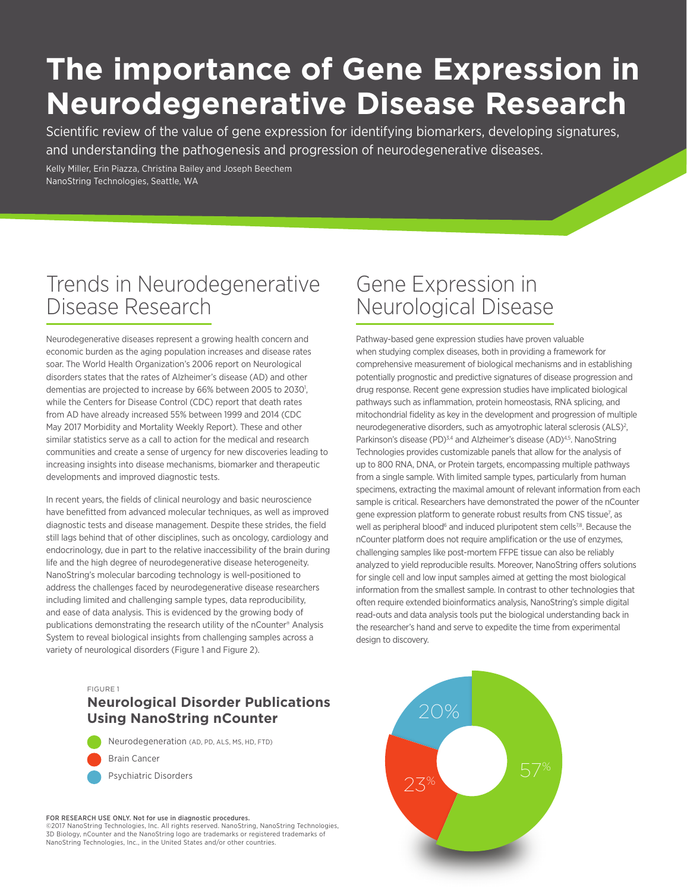# **The importance of Gene Expression in Neurodegenerative Disease Research**

Scientific review of the value of gene expression for identifying biomarkers, developing signatures, and understanding the pathogenesis and progression of neurodegenerative diseases.

Kelly Miller, Erin Piazza, Christina Bailey and Joseph Beechem NanoString Technologies, Seattle, WA

### Trends in Neurodegenerative Disease Research

Neurodegenerative diseases represent a growing health concern and economic burden as the aging population increases and disease rates soar. The World Health Organization's 2006 report on Neurological disorders states that the rates of Alzheimer's disease (AD) and other dementias are projected to increase by 66% between 2005 to 2030<sup>1</sup>, while the Centers for Disease Control (CDC) report that death rates from AD have already increased 55% between 1999 and 2014 (CDC May 2017 Morbidity and Mortality Weekly Report). These and other similar statistics serve as a call to action for the medical and research communities and create a sense of urgency for new discoveries leading to increasing insights into disease mechanisms, biomarker and therapeutic developments and improved diagnostic tests.

In recent years, the fields of clinical neurology and basic neuroscience have benefitted from advanced molecular techniques, as well as improved diagnostic tests and disease management. Despite these strides, the field still lags behind that of other disciplines, such as oncology, cardiology and endocrinology, due in part to the relative inaccessibility of the brain during life and the high degree of neurodegenerative disease heterogeneity. NanoString's molecular barcoding technology is well-positioned to address the challenges faced by neurodegenerative disease researchers including limited and challenging sample types, data reproducibility, and ease of data analysis. This is evidenced by the growing body of publications demonstrating the research utility of the nCounter® Analysis System to reveal biological insights from challenging samples across a variety of neurological disorders (Figure 1 and Figure 2).

## Gene Expression in Neurological Disease

Pathway-based gene expression studies have proven valuable when studying complex diseases, both in providing a framework for comprehensive measurement of biological mechanisms and in establishing potentially prognostic and predictive signatures of disease progression and drug response. Recent gene expression studies have implicated biological pathways such as inflammation, protein homeostasis, RNA splicing, and mitochondrial fidelity as key in the development and progression of multiple neurodegenerative disorders, such as amyotrophic lateral sclerosis (ALS)<sup>2</sup>, Parkinson's disease (PD)<sup>3,4</sup> and Alzheimer's disease (AD)<sup>4,5</sup>. NanoString Technologies provides customizable panels that allow for the analysis of up to 800 RNA, DNA, or Protein targets, encompassing multiple pathways from a single sample. With limited sample types, particularly from human specimens, extracting the maximal amount of relevant information from each sample is critical. Researchers have demonstrated the power of the nCounter gene expression platform to generate robust results from CNS tissue<sup>7</sup>, as well as peripheral blood<sup>6</sup> and induced pluripotent stem cells<sup>7,8</sup>. Because the nCounter platform does not require amplification or the use of enzymes, challenging samples like post-mortem FFPE tissue can also be reliably analyzed to yield reproducible results. Moreover, NanoString offers solutions for single cell and low input samples aimed at getting the most biological information from the smallest sample. In contrast to other technologies that often require extended bioinformatics analysis, NanoString's simple digital read-outs and data analysis tools put the biological understanding back in the researcher's hand and serve to expedite the time from experimental design to discovery.



FIGURE 1

#### **Neurological Disorder Publications Using NanoString nCounter**

Neurodegeneration (AD, PD, ALS, MS, HD, FTD) Brain Cancer

Psychiatric Disorders

FOR RESEARCH USE ONLY. Not for use in diagnostic procedures. ©2017 NanoString Technologies, Inc. All rights reserved. NanoString, NanoString Technologies,

3D Biology, nCounter and the NanoString logo are trademarks or registered trademarks of NanoString Technologies, Inc., in the United States and/or other countries.